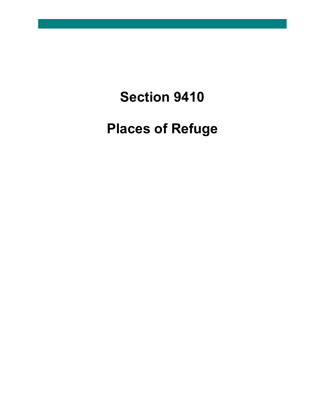# **Section 9410**

**Places of Refuge**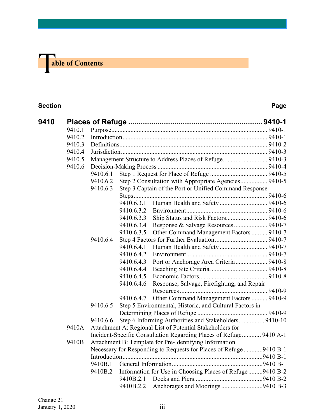# T **able of Contents**

### **Section Page**

| 9410 |        |          |                                                         |                                                                    |  |  |  |
|------|--------|----------|---------------------------------------------------------|--------------------------------------------------------------------|--|--|--|
|      | 9410.1 |          |                                                         |                                                                    |  |  |  |
|      | 9410.2 |          |                                                         |                                                                    |  |  |  |
|      | 9410.3 |          |                                                         |                                                                    |  |  |  |
|      | 9410.4 |          |                                                         |                                                                    |  |  |  |
|      | 9410.5 |          | Management Structure to Address Places of Refuge 9410-3 |                                                                    |  |  |  |
|      | 9410.6 |          |                                                         |                                                                    |  |  |  |
|      |        | 9410.6.1 |                                                         |                                                                    |  |  |  |
|      |        | 9410.6.2 |                                                         | Step 2 Consultation with Appropriate Agencies 9410-5               |  |  |  |
|      |        | 9410.6.3 |                                                         | Step 3 Captain of the Port or Unified Command Response             |  |  |  |
|      |        |          |                                                         |                                                                    |  |  |  |
|      |        |          |                                                         |                                                                    |  |  |  |
|      |        |          | 9410.6.3.2                                              |                                                                    |  |  |  |
|      |        |          | 9410.6.3.3                                              | Ship Status and Risk Factors 9410-6                                |  |  |  |
|      |        |          | 9410.6.3.4                                              |                                                                    |  |  |  |
|      |        |          | 9410.6.3.5                                              | Other Command Management Factors  9410-7                           |  |  |  |
|      |        | 9410.6.4 |                                                         |                                                                    |  |  |  |
|      |        |          | 9410.6.4.1                                              |                                                                    |  |  |  |
|      |        |          | 9410.6.4.2                                              |                                                                    |  |  |  |
|      |        |          | 9410.6.4.3                                              | Port or Anchorage Area Criteria 9410-8                             |  |  |  |
|      |        |          | 9410.6.4.4                                              |                                                                    |  |  |  |
|      |        |          | 9410.6.4.5                                              |                                                                    |  |  |  |
|      |        |          | 9410.6.4.6                                              | Response, Salvage, Firefighting, and Repair                        |  |  |  |
|      |        |          |                                                         |                                                                    |  |  |  |
|      |        |          | 9410.6.4.7                                              | Other Command Management Factors  9410-9                           |  |  |  |
|      |        | 9410.6.5 |                                                         | Step 5 Environmental, Historic, and Cultural Factors in            |  |  |  |
|      |        |          |                                                         |                                                                    |  |  |  |
|      |        | 9410.6.6 |                                                         | Step 6 Informing Authorities and Stakeholders 9410-10              |  |  |  |
|      | 9410A  |          |                                                         | Attachment A: Regional List of Potential Stakeholders for          |  |  |  |
|      |        |          |                                                         | Incident-Specific Consultation Regarding Places of Refuge 9410 A-1 |  |  |  |
|      | 9410B  |          |                                                         | Attachment B: Template for Pre-Identifying Information             |  |  |  |
|      |        |          |                                                         | Necessary for Responding to Requests for Places of Refuge 9410 B-1 |  |  |  |
|      |        |          |                                                         |                                                                    |  |  |  |
|      |        | 9410B.1  |                                                         |                                                                    |  |  |  |
|      |        | 9410B.2  |                                                         | Information for Use in Choosing Places of Refuge 9410 B-2          |  |  |  |
|      |        |          |                                                         |                                                                    |  |  |  |
|      |        |          | 9410B.2.2                                               |                                                                    |  |  |  |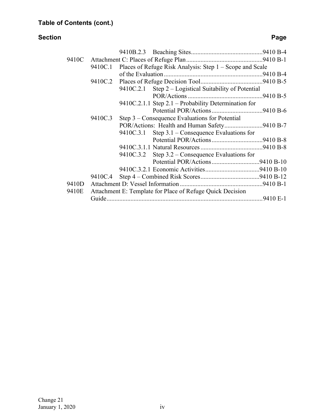### **Section Page**

| 9410E |  | 9410C.3 | 9410C.1 Places of Refuge Risk Analysis: Step 1 – Scope and Scale<br>9410C.2.1 Step 2 – Logistical Suitability of Potential<br>9410C.2.1.1 Step 2.1 - Probability Determination for<br>Step $3$ – Consequence Evaluations for Potential<br>POR/Actions: Health and Human Safety9410 B-7<br>9410C.3.1 Step $3.1$ – Consequence Evaluations for<br>9410C.3.2 Step $3.2$ – Consequence Evaluations for<br>Attachment E: Template for Place of Refuge Quick Decision |  |  |  |
|-------|--|---------|-----------------------------------------------------------------------------------------------------------------------------------------------------------------------------------------------------------------------------------------------------------------------------------------------------------------------------------------------------------------------------------------------------------------------------------------------------------------|--|--|--|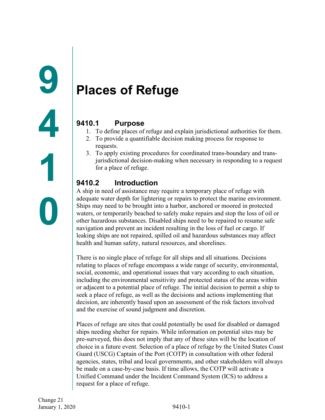# <span id="page-3-1"></span><span id="page-3-0"></span>**Places of Refuge**

### <span id="page-3-2"></span>**9410.1 Purpose**

- 1. To define places of refuge and explain jurisdictional authorities for them.
- 2. To provide a quantifiable decision making process for response to requests.
- 3. To apply existing procedures for coordinated trans-boundary and transjurisdictional decision-making when necessary in responding to a request for a place of refuge.

### <span id="page-3-3"></span>**9410.2 Introduction**

A ship in need of assistance may require a temporary place of refuge with adequate water depth for lightering or repairs to protect the marine environment. Ships may need to be brought into a harbor, anchored or moored in protected waters, or temporarily beached to safely make repairs and stop the loss of oil or other hazardous substances. Disabled ships need to be repaired to resume safe navigation and prevent an incident resulting in the loss of fuel or cargo. If leaking ships are not repaired, spilled oil and hazardous substances may affect health and human safety, natural resources, and shorelines.

There is no single place of refuge for all ships and all situations. Decisions relating to places of refuge encompass a wide range of security, environmental, social, economic, and operational issues that vary according to each situation, including the environmental sensitivity and protected status of the areas within or adjacent to a potential place of refuge. The initial decision to permit a ship to seek a place of refuge, as well as the decisions and actions implementing that decision, are inherently based upon an assessment of the risk factors involved and the exercise of sound judgment and discretion.

Places of refuge are sites that could potentially be used for disabled or damaged ships needing shelter for repairs. While information on potential sites may be pre-surveyed, this does not imply that any of these sites will be the location of choice in a future event. Selection of a place of refuge by the United States Coast Guard (USCG) Captain of the Port (COTP) in consultation with other federal agencies, states, tribal and local governments, and other stakeholders will always be made on a case-by-case basis. If time allows, the COTP will activate a Unified Command under the Incident Command System (ICS) to address a request for a place of refuge.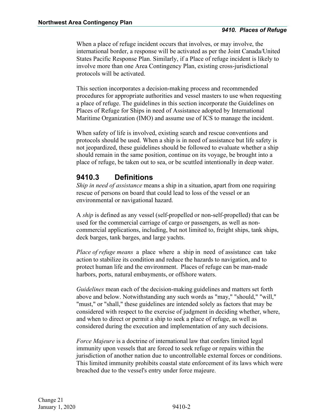When a place of refuge incident occurs that involves, or may involve, the international border, a response will be activated as per the Joint Canada/United States Pacific Response Plan. Similarly, if a Place of refuge incident is likely to involve more than one Area Contingency Plan, existing cross-jurisdictional protocols will be activated.

This section incorporates a decision-making process and recommended procedures for appropriate authorities and vessel masters to use when requesting a place of refuge. The guidelines in this section incorporate the Guidelines on Places of Refuge for Ships in need of Assistance adopted by International Maritime Organization (IMO) and assume use of ICS to manage the incident.

When safety of life is involved, existing search and rescue conventions and protocols should be used. When a ship is in need of assistance but life safety is not jeopardized, these guidelines should be followed to evaluate whether a ship should remain in the same position, continue on its voyage, be brought into a place of refuge, be taken out to sea, or be scuttled intentionally in deep water.

### <span id="page-4-0"></span>**9410.3 Definitions**

*Ship in need of assistance* means a ship in a situation, apart from one requiring rescue of persons on board that could lead to loss of the vessel or an environmental or navigational hazard.

A *ship* is defined as any vessel (self-propelled or non-self-propelled) that can be used for the commercial carriage of cargo or passengers, as well as noncommercial applications, including, but not limited to, freight ships, tank ships, deck barges, tank barges, and large yachts.

*Place of refuge means* a place where a ship in need of assistance can take action to stabilize its condition and reduce the hazards to navigation, and to protect human life and the environment. Places of refuge can be man-made harbors, ports, natural embayments, or offshore waters.

*Guidelines* mean each of the decision-making guidelines and matters set forth above and below. Notwithstanding any such words as "may," "should," "will," "must," or "shall," these guidelines are intended solely as factors that may be considered with respect to the exercise of judgment in deciding whether, where, and when to direct or permit a ship to seek a place of refuge, as well as considered during the execution and implementation of any such decisions.

*Force Majeure* is a doctrine of international law that confers limited legal immunity upon vessels that are forced to seek refuge or repairs within the jurisdiction of another nation due to uncontrollable external forces or conditions. This limited immunity prohibits coastal state enforcement of its laws which were breached due to the vessel's entry under force majeure.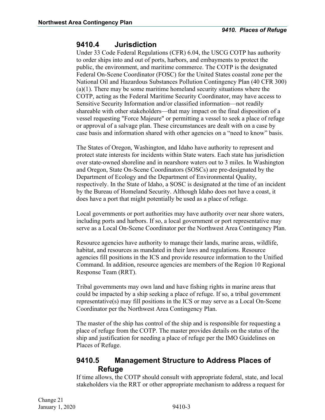### <span id="page-5-0"></span>**9410.4 Jurisdiction**

Under 33 Code Federal Regulations (CFR) 6.04, the USCG COTP has authority to order ships into and out of ports, harbors, and embayments to protect the public, the environment, and maritime commerce. The COTP is the designated Federal On-Scene Coordinator (FOSC) for the United States coastal zone per the National Oil and Hazardous Substances Pollution Contingency Plan (40 CFR 300) (a)(1). There may be some maritime homeland security situations where the COTP, acting as the Federal Maritime Security Coordinator, may have access to Sensitive Security Information and/or classified information—not readily shareable with other stakeholders—that may impact on the final disposition of a vessel requesting "Force Majeure" or permitting a vessel to seek a place of refuge or approval of a salvage plan. These circumstances are dealt with on a case by case basis and information shared with other agencies on a "need to know" basis.

The States of Oregon, Washington, and Idaho have authority to represent and protect state interests for incidents within State waters. Each state has jurisdiction over state-owned shoreline and in nearshore waters out to 3 miles. In Washington and Oregon, State On-Scene Coordinators (SOSCs) are pre-designated by the Department of Ecology and the Department of Environmental Quality, respectively. In the State of Idaho, a SOSC is designated at the time of an incident by the Bureau of Homeland Security. Although Idaho does not have a coast, it does have a port that might potentially be used as a place of refuge.

Local governments or port authorities may have authority over near shore waters, including ports and harbors. If so, a local government or port representative may serve as a Local On-Scene Coordinator per the Northwest Area Contingency Plan.

Resource agencies have authority to manage their lands, marine areas, wildlife, habitat, and resources as mandated in their laws and regulations. Resource agencies fill positions in the ICS and provide resource information to the Unified Command. In addition, resource agencies are members of the Region 10 Regional Response Team (RRT).

Tribal governments may own land and have fishing rights in marine areas that could be impacted by a ship seeking a place of refuge. If so, a tribal government representative(s) may fill positions in the ICS or may serve as a Local On-Scene Coordinator per the Northwest Area Contingency Plan.

The master of the ship has control of the ship and is responsible for requesting a place of refuge from the COTP. The master provides details on the status of the ship and justification for needing a place of refuge per the IMO Guidelines on Places of Refuge.

### <span id="page-5-1"></span>**9410.5 Management Structure to Address Places of Refuge**

If time allows, the COTP should consult with appropriate federal, state, and local stakeholders via the RRT or other appropriate mechanism to address a request for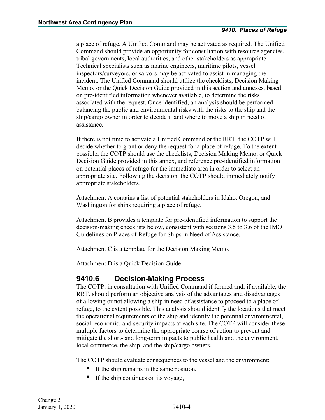a place of refuge. A Unified Command may be activated as required. The Unified Command should provide an opportunity for consultation with resource agencies, tribal governments, local authorities, and other stakeholders as appropriate. Technical specialists such as marine engineers, maritime pilots, vessel inspectors/surveyors, or salvors may be activated to assist in managing the incident. The Unified Command should utilize the checklists, Decision Making Memo, or the Quick Decision Guide provided in this section and annexes, based on pre-identified information whenever available, to determine the risks associated with the request. Once identified, an analysis should be performed balancing the public and environmental risks with the risks to the ship and the ship/cargo owner in order to decide if and where to move a ship in need of assistance.

If there is not time to activate a Unified Command or the RRT, the COTP will decide whether to grant or deny the request for a place of refuge. To the extent possible, the COTP should use the checklists, Decision Making Memo, or Quick Decision Guide provided in this annex, and reference pre-identified information on potential places of refuge for the immediate area in order to select an appropriate site. Following the decision, the COTP should immediately notify appropriate stakeholders.

Attachment A contains a list of potential stakeholders in Idaho, Oregon, and Washington for ships requiring a place of refuge.

Attachment B provides a template for pre-identified information to support the decision-making checklists below, consistent with sections 3.5 to 3.6 of the IMO Guidelines on Places of Refuge for Ships in Need of Assistance.

Attachment C is a template for the Decision Making Memo.

Attachment D is a Quick Decision Guide.

### <span id="page-6-0"></span>**9410.6 Decision-Making Process**

The COTP, in consultation with Unified Command if formed and, if available, the RRT, should perform an objective analysis of the advantages and disadvantages of allowing or not allowing a ship in need of assistance to proceed to a place of refuge, to the extent possible. This analysis should identify the locations that meet the operational requirements of the ship and identify the potential environmental, social, economic, and security impacts at each site. The COTP will consider these multiple factors to determine the appropriate course of action to prevent and mitigate the short- and long-term impacts to public health and the environment, local commerce, the ship, and the ship/cargo owners.

The COTP should evaluate consequences to the vessel and the environment:

- If the ship remains in the same position,
- If the ship continues on its voyage,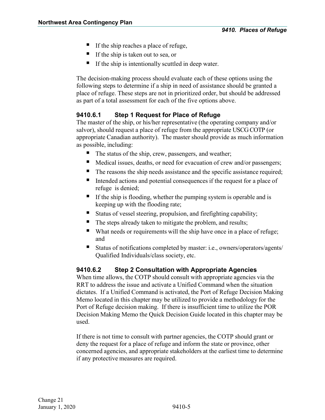- If the ship reaches a place of refuge,
- If the ship is taken out to sea, or
- $\blacksquare$  If the ship is intentionally scuttled in deep water.

The decision-making process should evaluate each of these options using the following steps to determine if a ship in need of assistance should be granted a place of refuge. These steps are not in prioritized order, but should be addressed as part of a total assessment for each of the five options above.

### <span id="page-7-0"></span>**9410.6.1 Step 1 Request for Place of Refuge**

The master of the ship, or his/her representative (the operating company and/or salvor), should request a place of refuge from the appropriate USCG COTP (or appropriate Canadian authority). The master should provide as much information as possible, including:

- The status of the ship, crew, passengers, and weather;
- Medical issues, deaths, or need for evacuation of crew and/or passengers;
- The reasons the ship needs assistance and the specific assistance required;
- Intended actions and potential consequences if the request for a place of refuge is denied;
- If the ship is flooding, whether the pumping system is operable and is keeping up with the flooding rate;
- Status of vessel steering, propulsion, and firefighting capability;
- The steps already taken to mitigate the problem, and results;
- What needs or requirements will the ship have once in a place of refuge; and
- Status of notifications completed by master: i.e., owners/operators/agents/ Qualified Individuals/class society, etc.

### <span id="page-7-1"></span>**9410.6.2 Step 2 Consultation with Appropriate Agencies**

When time allows, the COTP should consult with appropriate agencies via the RRT to address the issue and activate a Unified Command when the situation dictates. If a Unified Command is activated, the Port of Refuge Decision Making Memo located in this chapter may be utilized to provide a methodology for the Port of Refuge decision making. If there is insufficient time to utilize the POR Decision Making Memo the Quick Decision Guide located in this chapter may be used.

If there is not time to consult with partner agencies, the COTP should grant or deny the request for a place of refuge and inform the state or province, other concerned agencies, and appropriate stakeholders at the earliest time to determine if any protective measures are required.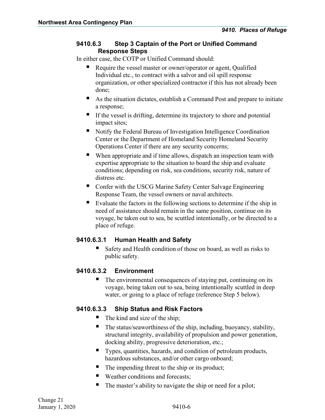### <span id="page-8-0"></span>**9410.6.3 Step 3 Captain of the Port or Unified Command Response Steps**

In either case, the COTP or Unified Command should:

- Require the vessel master or owner/operator or agent, Qualified Individual etc., to contract with a salvor and oil spill response organization, or other specialized contractor if this has not already been done;
- As the situation dictates, establish a Command Post and prepare to initiate a response;
- $\blacksquare$  If the vessel is drifting, determine its trajectory to shore and potential impact sites;
- Notify the Federal Bureau of Investigation Intelligence Coordination Center or the Department of Homeland Security Homeland Security Operations Center if there are any security concerns;
- When appropriate and if time allows, dispatch an inspection team with expertise appropriate to the situation to board the ship and evaluate conditions; depending on risk, sea conditions, security risk, nature of distress etc.
- Confer with the USCG Marine Safety Center Salvage Engineering Response Team, the vessel owners or naval architects.
- Evaluate the factors in the following sections to determine if the ship in need of assistance should remain in the same position, continue on its voyage, be taken out to sea, be scuttled intentionally, or be directed to a place of refuge.

### <span id="page-8-1"></span>**9410.6.3.1 Human Health and Safety**

Safety and Health condition of those on board, as well as risks to public safety.

### <span id="page-8-2"></span>**9410.6.3.2 Environment**

 The environmental consequences of staying put, continuing on its voyage, being taken out to sea, being intentionally scuttled in deep water, or going to a place of refuge (reference Step 5 below).

### <span id="page-8-3"></span>**9410.6.3.3 Ship Status and Risk Factors**

- $\blacksquare$  The kind and size of the ship;
- $\blacksquare$  The status/seaworthiness of the ship, including, buoyancy, stability, structural integrity, availability of propulsion and power generation, docking ability, progressive deterioration, etc.;
- Types, quantities, hazards, and condition of petroleum products, hazardous substances, and/or other cargo onboard;
- The impending threat to the ship or its product;
- Weather conditions and forecasts;
- The master's ability to navigate the ship or need for a pilot;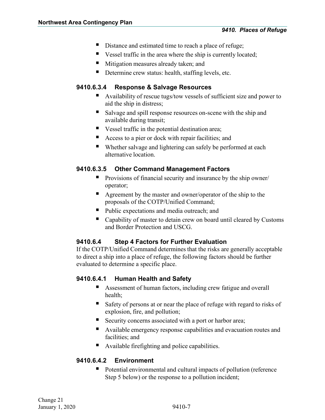- Distance and estimated time to reach a place of refuge;
- Vessel traffic in the area where the ship is currently located;
- **Mitigation measures already taken; and**
- Determine crew status: health, staffing levels, etc.

### <span id="page-9-0"></span>**9410.6.3.4 Response & Salvage Resources**

- Availability of rescue tugs/tow vessels of sufficient size and power to aid the ship in distress;
- Salvage and spill response resources on-scene with the ship and available during transit;
- Vessel traffic in the potential destination area;
- Access to a pier or dock with repair facilities; and
- Whether salvage and lightering can safely be performed at each alternative location.

### <span id="page-9-1"></span>**9410.6.3.5 Other Command Management Factors**

- **Provisions of financial security and insurance by the ship owner** operator;
- Agreement by the master and owner/operator of the ship to the proposals of the COTP/Unified Command;
- Public expectations and media outreach; and
- Capability of master to detain crew on board until cleared by Customs and Border Protection and USCG.

### <span id="page-9-2"></span>**9410.6.4 Step 4 Factors for Further Evaluation**

If the COTP/Unified Command determines that the risks are generally acceptable to direct a ship into a place of refuge, the following factors should be further evaluated to determine a specific place.

### <span id="page-9-3"></span>**9410.6.4.1 Human Health and Safety**

- Assessment of human factors, including crew fatigue and overall health;
- Safety of persons at or near the place of refuge with regard to risks of explosion, fire, and pollution;
- Security concerns associated with a port or harbor area;
- Available emergency response capabilities and evacuation routes and facilities; and
- Available firefighting and police capabilities.

### <span id="page-9-4"></span>**9410.6.4.2 Environment**

 Potential environmental and cultural impacts of pollution (reference Step 5 below) or the response to a pollution incident;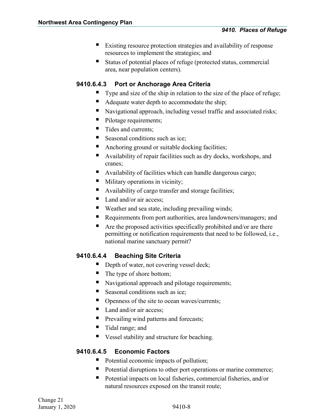- Existing resource protection strategies and availability of response resources to implement the strategies; and
- Status of potential places of refuge (protected status, commercial area, near population centers).

### <span id="page-10-0"></span>**9410.6.4.3 Port or Anchorage Area Criteria**

- Type and size of the ship in relation to the size of the place of refuge;
- Adequate water depth to accommodate the ship;
- Navigational approach, including vessel traffic and associated risks;
- Pilotage requirements;
- Tides and currents:
- Seasonal conditions such as ice:
- Anchoring ground or suitable docking facilities;
- Availability of repair facilities such as dry docks, workshops, and cranes;
- Availability of facilities which can handle dangerous cargo;
- **Military operations in vicinity;**
- Availability of cargo transfer and storage facilities;
- $\blacksquare$  Land and/or air access:
- Weather and sea state, including prevailing winds;
- Requirements from port authorities, area landowners/managers; and
- $\blacksquare$  Are the proposed activities specifically prohibited and/or are there permitting or notification requirements that need to be followed, i.e., national marine sanctuary permit?

### <span id="page-10-1"></span>**9410.6.4.4 Beaching Site Criteria**

- Depth of water, not covering vessel deck;
- The type of shore bottom;
- Navigational approach and pilotage requirements;
- Seasonal conditions such as ice;
- Openness of the site to ocean waves/currents;
- $\blacksquare$  Land and/or air access;
- **Prevailing wind patterns and forecasts;**
- Tidal range; and
- Vessel stability and structure for beaching.

### <span id="page-10-2"></span>**9410.6.4.5 Economic Factors**

- Potential economic impacts of pollution;
- Potential disruptions to other port operations or marine commerce;
- Potential impacts on local fisheries, commercial fisheries, and/or natural resources exposed on the transit route;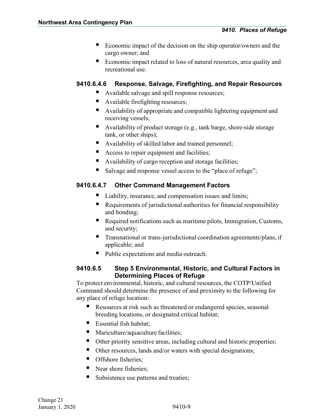- Economic impact of the decision on the ship operator/owners and the cargo owner; and
- Economic impact related to loss of natural resources, area quality and recreational use.

#### <span id="page-11-0"></span>**9410.6.4.6 Response, Salvage, Firefighting, and Repair Resources**

- Available salvage and spill response resources;
- Available firefighting resources;
- Availability of appropriate and compatible lightering equipment and receiving vessels;
- Availability of product storage (e.g., tank barge, shore-side storage tank, or other ships);
- Availability of skilled labor and trained personnel;
- Access to repair equipment and facilities;
- Availability of cargo reception and storage facilities;
- Salvage and response vessel access to the "place of refuge";

### <span id="page-11-1"></span>**9410.6.4.7 Other Command Management Factors**

- Liability, insurance, and compensation issues and limits;
- Requirements of jurisdictional authorities for financial responsibility and bonding;
- Required notifications such as maritime pilots, Immigration, Customs, and security;
- Transnational or trans-jurisdictional coordination agreements/plans, if applicable; and
- Public expectations and media outreach.

### <span id="page-11-2"></span>**9410.6.5 Step 5 Environmental, Historic, and Cultural Factors in Determining Places of Refuge**

To protect environmental, historic, and cultural resources, the COTP/Unified Command should determine the presence of and proximity to the following for any place of refuge location:

- Resources at risk such as threatened or endangered species, seasonal breeding locations, or designated critical habitat;
- Essential fish habitat:
- Mariculture/aquaculture facilities;
- Other priority sensitive areas, including cultural and historic properties;
- Other resources, lands and/or waters with special designations;
- Offshore fisheries:
- Near shore fisheries:
- Subsistence use patterns and treaties;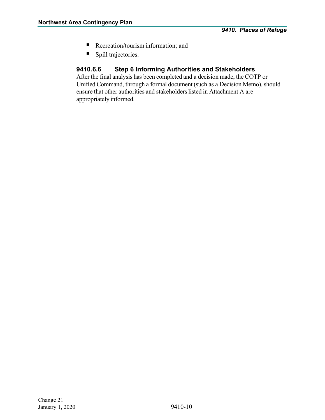- Recreation/tourism information; and
- **Spill trajectories.**

### <span id="page-12-0"></span>**9410.6.6 Step 6 Informing Authorities and Stakeholders**

After the final analysis has been completed and a decision made, the COTP or Unified Command, through a formal document (such as a Decision Memo), should ensure that other authorities and stakeholders listed in Attachment A are appropriately informed.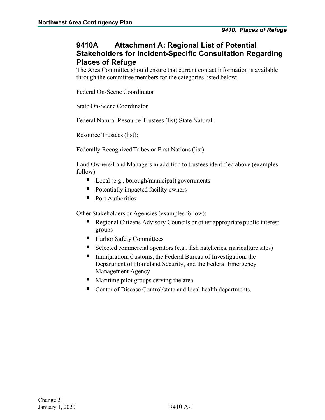### <span id="page-13-0"></span>**9410A Attachment A: Regional List of Potential Stakeholders for Incident-Specific Consultation Regarding Places of Refuge**

The Area Committee should ensure that current contact information is available through the committee members for the categories listed below:

Federal On-Scene Coordinator

State On-Scene Coordinator

Federal Natural Resource Trustees (list) State Natural:

Resource Trustees (list):

Federally Recognized Tribes or First Nations (list):

Land Owners/Land Managers in addition to trustees identified above (examples follow):

- Local (e.g., borough/municipal) governments
- Potentially impacted facility owners
- **Port Authorities**

Other Stakeholders or Agencies (examples follow):

- Regional Citizens Advisory Councils or other appropriate public interest groups
- Harbor Safety Committees
- Selected commercial operators (e.g., fish hatcheries, mariculture sites)
- Immigration, Customs, the Federal Bureau of Investigation, the Department of Homeland Security, and the Federal Emergency Management Agency
- **Maritime pilot groups serving the area**
- Center of Disease Control/state and local health departments.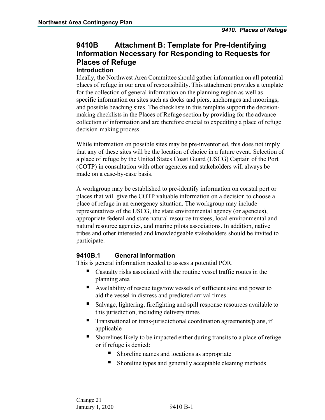### <span id="page-14-0"></span>**9410B Attachment B: Template for Pre-Identifying Information Necessary for Responding to Requests for Places of Refuge**

### <span id="page-14-1"></span>**Introduction**

Ideally, the Northwest Area Committee should gather information on all potential places of refuge in our area of responsibility. This attachment provides a template for the collection of general information on the planning region as well as specific information on sites such as docks and piers, anchorages and moorings, and possible beaching sites. The checklists in this template support the decisionmaking checklists in the Places of Refuge section by providing for the advance collection of information and are therefore crucial to expediting a place of refuge decision-making process.

While information on possible sites may be pre-inventoried, this does not imply that any of these sites will be the location of choice in a future event. Selection of a place of refuge by the United States Coast Guard (USCG) Captain of the Port (COTP) in consultation with other agencies and stakeholders will always be made on a case-by-case basis.

A workgroup may be established to pre-identify information on coastal port or places that will give the COTP valuable information on a decision to choose a place of refuge in an emergency situation. The workgroup may include representatives of the USCG, the state environmental agency (or agencies), appropriate federal and state natural resource trustees, local environmental and natural resource agencies, and marine pilots associations. In addition, native tribes and other interested and knowledgeable stakeholders should be invited to participate.

### <span id="page-14-2"></span>**9410B.1 General Information**

This is general information needed to assess a potential POR.

- Casualty risks associated with the routine vessel traffic routes in the planning area
- Availability of rescue tugs/tow vessels of sufficient size and power to aid the vessel in distress and predicted arrival times
- Salvage, lightering, firefighting and spill response resources available to this jurisdiction, including delivery times
- Transnational or trans-jurisdictional coordination agreements/plans, if applicable
- Shorelines likely to be impacted either during transits to a place of refuge or if refuge is denied:
	- Shoreline names and locations as appropriate
	- Shoreline types and generally acceptable cleaning methods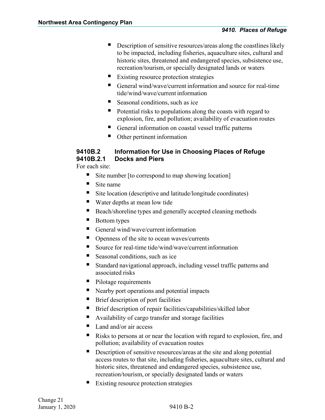- **Description of sensitive resources/areas along the coastlines likely** to be impacted, including fisheries, aquaculture sites, cultural and historic sites, threatened and endangered species, subsistence use, recreation/tourism, or specially designated lands or waters
- Existing resource protection strategies
- General wind/wave/current information and source for real-time tide/wind/wave/current information
- Seasonal conditions, such as ice
- Potential risks to populations along the coasts with regard to explosion, fire, and pollution; availability of evacuation routes
- General information on coastal vessel traffic patterns
- Other pertinent information

### <span id="page-15-1"></span><span id="page-15-0"></span>**9410B.2 Information for Use in Choosing Places of Refuge 9410B.2.1 Docks and Piers**

For each site:

- Site number [to correspond to map showing location]
- $\blacksquare$  Site name
- Site location (descriptive and latitude/longitude coordinates)
- Water depths at mean low tide
- Beach/shoreline types and generally accepted cleaning methods
- Bottom types
- General wind/wave/current information
- $\blacksquare$  Openness of the site to ocean waves/currents
- Source for real-time tide/wind/wave/current information
- Seasonal conditions, such as ice
- Standard navigational approach, including vessel traffic patterns and associated risks
- Pilotage requirements
- Nearby port operations and potential impacts
- Brief description of port facilities
- Brief description of repair facilities/capabilities/skilled labor
- Availability of cargo transfer and storage facilities
- Land and/or air access
- Risks to persons at or near the location with regard to explosion, fire, and pollution; availability of evacuation routes
- Description of sensitive resources/areas at the site and along potential access routes to that site, including fisheries, aquaculture sites, cultural and historic sites, threatened and endangered species, subsistence use, recreation/tourism, or specially designated lands or waters
- Existing resource protection strategies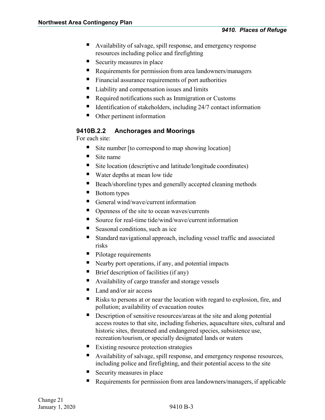- Availability of salvage, spill response, and emergency response resources including police and firefighting
- Security measures in place
- Requirements for permission from area landowners/managers
- Financial assurance requirements of port authorities
- Liability and compensation issues and limits
- Required notifications such as Immigration or Customs
- $\blacksquare$  Identification of stakeholders, including 24/7 contact information
- Other pertinent information

### <span id="page-16-0"></span>**9410B.2.2 Anchorages and Moorings**

For each site:

- Site number [to correspond to map showing location]
- $\blacksquare$  Site name
- Site location (descriptive and latitude/longitude coordinates)
- Water depths at mean low tide
- Beach/shoreline types and generally accepted cleaning methods
- Bottom types
- General wind/wave/current information
- Openness of the site to ocean waves/currents
- Source for real-time tide/wind/wave/current information
- Seasonal conditions, such as ice
- Standard navigational approach, including vessel traffic and associated risks
- Pilotage requirements
- Nearby port operations, if any, and potential impacts
- $\blacksquare$  Brief description of facilities (if any)
- Availability of cargo transfer and storage vessels
- Land and/or air access
- Risks to persons at or near the location with regard to explosion, fire, and pollution; availability of evacuation routes
- Description of sensitive resources/areas at the site and along potential access routes to that site, including fisheries, aquaculture sites, cultural and historic sites, threatened and endangered species, subsistence use, recreation/tourism, or specially designated lands or waters
- Existing resource protection strategies
- Availability of salvage, spill response, and emergency response resources, including police and firefighting, and their potential access to the site
- Security measures in place
- Requirements for permission from area landowners/managers, if applicable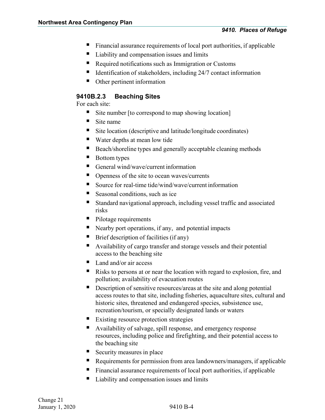- Financial assurance requirements of local port authorities, if applicable
- Liability and compensation issues and limits
- Required notifications such as Immigration or Customs
- $\blacksquare$  Identification of stakeholders, including 24/7 contact information
- Other pertinent information

#### <span id="page-17-0"></span>**9410B.2.3 Beaching Sites**

For each site:

- Site number [to correspond to map showing location]
- $\blacksquare$  Site name
- Site location (descriptive and latitude/longitude coordinates)
- Water depths at mean low tide
- Beach/shoreline types and generally acceptable cleaning methods
- Bottom types
- General wind/wave/current information
- Openness of the site to ocean waves/currents
- Source for real-time tide/wind/wave/current information
- Seasonal conditions, such as ice
- Standard navigational approach, including vessel traffic and associated risks
- **Pilotage requirements**
- $\blacksquare$  Nearby port operations, if any, and potential impacts
- Brief description of facilities (if any)
- Availability of cargo transfer and storage vessels and their potential access to the beaching site
- Land and/or air access
- Risks to persons at or near the location with regard to explosion, fire, and pollution; availability of evacuation routes
- Description of sensitive resources/areas at the site and along potential access routes to that site, including fisheries, aquaculture sites, cultural and historic sites, threatened and endangered species, subsistence use, recreation/tourism, or specially designated lands or waters
- Existing resource protection strategies
- Availability of salvage, spill response, and emergency response resources, including police and firefighting, and their potential access to the beaching site
- Security measures in place
- Requirements for permission from area landowners/managers, if applicable
- Financial assurance requirements of local port authorities, if applicable
- Liability and compensation issues and limits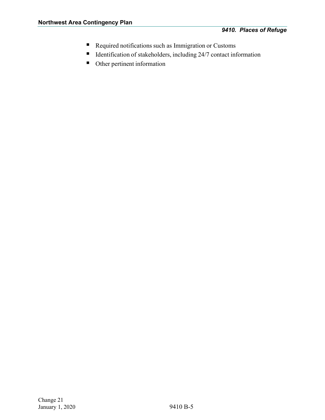- Required notifications such as Immigration or Customs
- $\blacksquare$  Identification of stakeholders, including 24/7 contact information
- Other pertinent information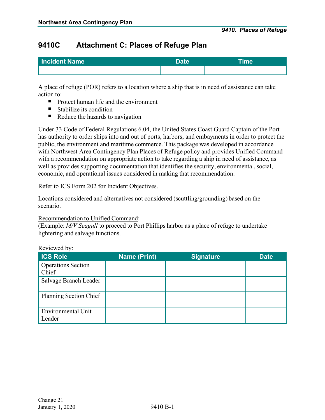### <span id="page-19-0"></span>**9410C Attachment C: Places of Refuge Plan**

| Incident Name | <b>Date</b> | <sup>t</sup> me |
|---------------|-------------|-----------------|
|               |             |                 |

A place of refuge (POR) refers to a location where a ship that is in need of assistance can take action to:

- Protect human life and the environment
- $\blacksquare$  Stabilize its condition
- Reduce the hazards to navigation

Under 33 Code of Federal Regulations 6.04, the United States Coast Guard Captain of the Port has authority to order ships into and out of ports, harbors, and embayments in order to protect the public, the environment and maritime commerce. This package was developed in accordance with Northwest Area Contingency Plan Places of Refuge policy and provides Unified Command with a recommendation on appropriate action to take regarding a ship in need of assistance, as well as provides supporting documentation that identifies the security, environmental, social, economic, and operational issues considered in making that recommendation.

Refer to ICS Form 202 for Incident Objectives.

Locations considered and alternatives not considered (scuttling/grounding) based on the scenario.

#### Recommendation to Unified Command:

(Example: *M/V Seagull* to proceed to Port Phillips harbor as a place of refuge to undertake lightering and salvage functions.

| <b>ICS Role</b>                    | <b>Name (Print)</b> | <b>Signature</b> | <b>Date</b> |
|------------------------------------|---------------------|------------------|-------------|
| <b>Operations Section</b><br>Chief |                     |                  |             |
| Salvage Branch Leader              |                     |                  |             |
| Planning Section Chief             |                     |                  |             |
| Environmental Unit<br>Leader       |                     |                  |             |

#### Reviewed by: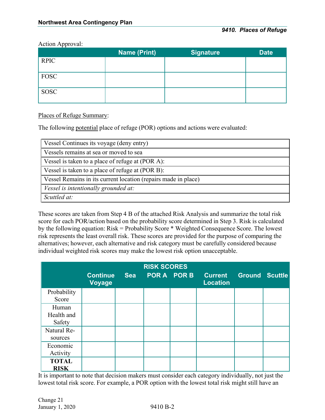Action Approval:

| . .         | <b>Name (Print)</b> | <b>Signature</b> | <b>Date</b> |
|-------------|---------------------|------------------|-------------|
| <b>RPIC</b> |                     |                  |             |
| <b>FOSC</b> |                     |                  |             |
| <b>SOSC</b> |                     |                  |             |

#### Places of Refuge Summary:

The following potential place of refuge (POR) options and actions were evaluated:

| Vessel Continues its voyage (deny entry)                       |
|----------------------------------------------------------------|
| Vessels remains at sea or moved to sea                         |
| Vessel is taken to a place of refuge at (POR A):               |
| Vessel is taken to a place of refuge at (POR B):               |
| Vessel Remains in its current location (repairs made in place) |
| Vessel is intentionally grounded at:                           |
| Scuttled at:                                                   |

These scores are taken from Step 4 B of the attached Risk Analysis and summarize the total risk score for each POR/action based on the probability score determined in Step 3. Risk is calculated by the following equation: Risk = Probability Score \* Weighted Consequence Score. The lowest risk represents the least overall risk. These scores are provided for the purpose of comparing the alternatives; however, each alternative and risk category must be carefully considered because individual weighted risk scores may make the lowest risk option unacceptable.

|                               |                                  |     | <b>RISK SCORES</b> |             |                                   |                       |  |
|-------------------------------|----------------------------------|-----|--------------------|-------------|-----------------------------------|-----------------------|--|
|                               | <b>Continue</b><br><b>Voyage</b> | Sea |                    | POR A POR B | <b>Current</b><br><b>Location</b> | <b>Ground Scuttle</b> |  |
| Probability<br>Score          |                                  |     |                    |             |                                   |                       |  |
| Human<br>Health and<br>Safety |                                  |     |                    |             |                                   |                       |  |
| Natural Re-<br>sources        |                                  |     |                    |             |                                   |                       |  |
| Economic<br>Activity          |                                  |     |                    |             |                                   |                       |  |
| <b>TOTAL</b><br><b>RISK</b>   |                                  |     |                    |             |                                   |                       |  |

It is important to note that decision makers must consider each category individually, not just the lowest total risk score. For example, a POR option with the lowest total risk might still have an

Change 21 January 1, 2020 9410 B-2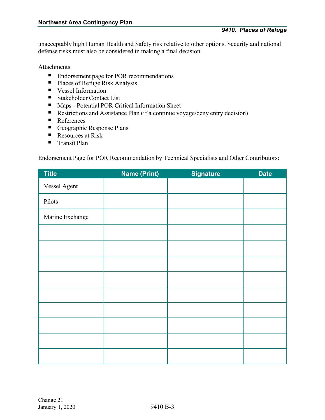unacceptably high Human Health and Safety risk relative to other options. Security and national defense risks must also be considered in making a final decision.

#### Attachments

- Endorsement page for POR recommendations
- Places of Refuge Risk Analysis
- **Vessel Information**
- Stakeholder Contact List
- Maps Potential POR Critical Information Sheet
- Restrictions and Assistance Plan (if a continue voyage/deny entry decision)
- References
- Geographic Response Plans
- Resources at Risk
- Transit Plan

Endorsement Page for POR Recommendation by Technical Specialists and Other Contributors:

| <b>Title</b>    | <b>Name (Print)</b> | <b>Signature</b> | <b>Date</b> |
|-----------------|---------------------|------------------|-------------|
| Vessel Agent    |                     |                  |             |
| Pilots          |                     |                  |             |
| Marine Exchange |                     |                  |             |
|                 |                     |                  |             |
|                 |                     |                  |             |
|                 |                     |                  |             |
|                 |                     |                  |             |
|                 |                     |                  |             |
|                 |                     |                  |             |
|                 |                     |                  |             |
|                 |                     |                  |             |
|                 |                     |                  |             |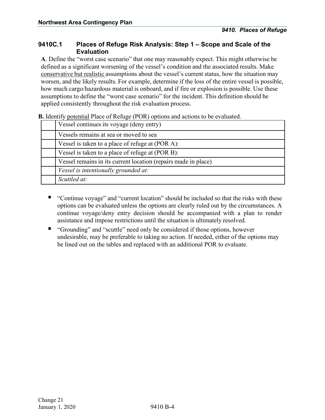#### <span id="page-22-0"></span>**9410C.1 Places of Refuge Risk Analysis: Step 1 – Scope and Scale of the Evaluation**

**A**. Define the "worst case scenario" that one may reasonably expect. This might otherwise be defined as a significant worsening of the vessel's condition and the associated results. Make conservative but realistic assumptions about the vessel's current status, how the situation may worsen, and the likely results. For example, determine if the loss of the entire vessel is possible, how much cargo/hazardous material is onboard, and if fire or explosion is possible. Use these assumptions to define the "worst case scenario" for the incident. This definition should be applied consistently throughout the risk evaluation process.

| <b>D.</b> Identity potential Flace of Kengge (FOK) options and actions to be evaluated. |
|-----------------------------------------------------------------------------------------|
| Vessel continues its voyage (deny entry)                                                |
| Vessels remains at sea or moved to sea                                                  |
| Vessel is taken to a place of refuge at (POR A):                                        |
| Vessel is taken to a place of refuge at (POR B):                                        |
| Vessel remains in its current location (repairs made in place)                          |
| Vessel is intentionally grounded at:                                                    |
| Scuttled at:                                                                            |
|                                                                                         |

**B.** Identify potential Place of Refuge (POR) options and actions to be evaluated.

- "Continue voyage" and "current location" should be included so that the risks with these options can be evaluated unless the options are clearly ruled out by the circumstances. A continue voyage/deny entry decision should be accompanied with a plan to render assistance and impose restrictions until the situation is ultimately resolved.
- "Grounding" and "scuttle" need only be considered if those options, however undesirable, may be preferable to taking no action. If needed, either of the options may be lined out on the tables and replaced with an additional POR to evaluate.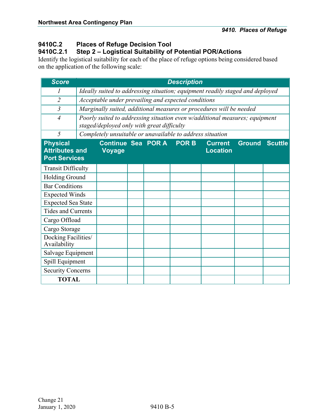## <span id="page-23-0"></span>**9410C.2 Places of Refuge Decision Tool**

<span id="page-23-1"></span>**9410C.2.1 Step 2 – Logistical Suitability of Potential POR/Actions**

Identify the logistical suitability for each of the place of refuge options being considered based on the application of the following scale:

| <b>Score</b>                                                     |                                                                                                 |                                                                               |  |  | <b>Description</b> |                                                                             |  |                |
|------------------------------------------------------------------|-------------------------------------------------------------------------------------------------|-------------------------------------------------------------------------------|--|--|--------------------|-----------------------------------------------------------------------------|--|----------------|
|                                                                  |                                                                                                 | Ideally suited to addressing situation; equipment readily staged and deployed |  |  |                    |                                                                             |  |                |
| $\overline{2}$                                                   |                                                                                                 | Acceptable under prevailing and expected conditions                           |  |  |                    |                                                                             |  |                |
| $\overline{3}$                                                   |                                                                                                 |                                                                               |  |  |                    | Marginally suited, additional measures or procedures will be needed         |  |                |
| $\overline{4}$                                                   |                                                                                                 | staged/deployed only with great difficulty                                    |  |  |                    | Poorly suited to addressing situation even w/additional measures; equipment |  |                |
| 5                                                                |                                                                                                 | Completely unsuitable or unavailable to address situation                     |  |  |                    |                                                                             |  |                |
| <b>Physical</b><br><b>Attributes and</b><br><b>Port Services</b> | Continue Sea POR A POR B<br><b>Current</b><br><b>Ground</b><br><b>Location</b><br><b>Voyage</b> |                                                                               |  |  |                    |                                                                             |  | <b>Scuttle</b> |
| <b>Transit Difficulty</b>                                        |                                                                                                 |                                                                               |  |  |                    |                                                                             |  |                |
| <b>Holding Ground</b>                                            |                                                                                                 |                                                                               |  |  |                    |                                                                             |  |                |
| <b>Bar Conditions</b>                                            |                                                                                                 |                                                                               |  |  |                    |                                                                             |  |                |
| <b>Expected Winds</b>                                            |                                                                                                 |                                                                               |  |  |                    |                                                                             |  |                |
| <b>Expected Sea State</b>                                        |                                                                                                 |                                                                               |  |  |                    |                                                                             |  |                |
| Tides and Currents                                               |                                                                                                 |                                                                               |  |  |                    |                                                                             |  |                |
| Cargo Offload                                                    |                                                                                                 |                                                                               |  |  |                    |                                                                             |  |                |
| Cargo Storage                                                    |                                                                                                 |                                                                               |  |  |                    |                                                                             |  |                |
| Docking Facilities/<br>Availability                              |                                                                                                 |                                                                               |  |  |                    |                                                                             |  |                |
| Salvage Equipment                                                |                                                                                                 |                                                                               |  |  |                    |                                                                             |  |                |
| Spill Equipment                                                  |                                                                                                 |                                                                               |  |  |                    |                                                                             |  |                |
| <b>Security Concerns</b>                                         |                                                                                                 |                                                                               |  |  |                    |                                                                             |  |                |
| <b>TOTAL</b>                                                     |                                                                                                 |                                                                               |  |  |                    |                                                                             |  |                |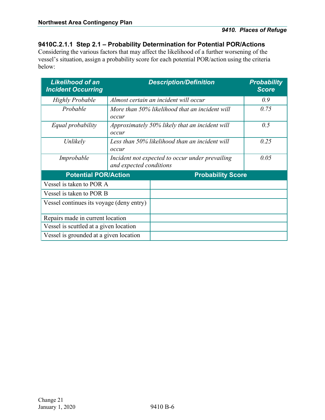### <span id="page-24-0"></span>**9410C.2.1.1 Step 2.1 – Probability Determination for Potential POR/Actions**

Considering the various factors that may affect the likelihood of a further worsening of the vessel's situation, assign a probability score for each potential POR/action using the criteria below:

| <b>Likelihood of an</b><br><b>Incident Occurring</b> |                                                                            | <b>Description/Definition</b>                  | <b>Probability</b><br><b>Score</b> |  |  |  |
|------------------------------------------------------|----------------------------------------------------------------------------|------------------------------------------------|------------------------------------|--|--|--|
| <b>Highly Probable</b>                               | Almost certain an incident will occur                                      | 0.9                                            |                                    |  |  |  |
| Probable                                             | occur                                                                      | More than 50% likelihood that an incident will |                                    |  |  |  |
| Equal probability                                    | Approximately 50% likely that an incident will<br>occur                    | 0.5                                            |                                    |  |  |  |
| Unlikely                                             | Less than 50% likelihood than an incident will<br>occur                    | 0.25                                           |                                    |  |  |  |
| Improbable                                           | Incident not expected to occur under prevailing<br>and expected conditions | 0.05                                           |                                    |  |  |  |
| <b>Potential POR/Action</b>                          |                                                                            | <b>Probability Score</b>                       |                                    |  |  |  |
| Vessel is taken to POR A                             |                                                                            |                                                |                                    |  |  |  |
| Vessel is taken to POR B                             |                                                                            |                                                |                                    |  |  |  |
| Vessel continues its voyage (deny entry)             |                                                                            |                                                |                                    |  |  |  |
| Repairs made in current location                     |                                                                            |                                                |                                    |  |  |  |
| Vessel is scuttled at a given location               |                                                                            |                                                |                                    |  |  |  |
| Vessel is grounded at a given location               |                                                                            |                                                |                                    |  |  |  |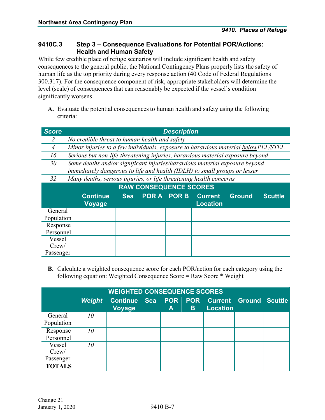#### <span id="page-25-0"></span>**9410C.3 Step 3 – Consequence Evaluations for Potential POR/Actions: Health and Human Safety**

While few credible place of refuge scenarios will include significant health and safety consequences to the general public, the National Contingency Plans properly lists the safety of human life as the top priority during every response action (40 Code of Federal Regulations 300.317). For the consequence component of risk, appropriate stakeholders will determine the level (scale) of consequences that can reasonably be expected if the vessel's condition significantly worsens.

**A.** Evaluate the potential consequences to human health and safety using the following criteria:

| <b>Score</b> | <b>Description</b>                            |                                                                                                                                                         |            |                               |  |                                               |               |                |  |
|--------------|-----------------------------------------------|---------------------------------------------------------------------------------------------------------------------------------------------------------|------------|-------------------------------|--|-----------------------------------------------|---------------|----------------|--|
|              | No credible threat to human health and safety |                                                                                                                                                         |            |                               |  |                                               |               |                |  |
| 4            |                                               | Minor injuries to a few individuals, exposure to hazardous material belowPEL/STEL                                                                       |            |                               |  |                                               |               |                |  |
| 16           |                                               | Serious but non-life-threatening injuries, hazardous material exposure beyond                                                                           |            |                               |  |                                               |               |                |  |
| 30           |                                               | Some deaths and/or significant injuries/hazardous material exposure beyond<br>immediately dangerous to life and health (IDLH) to small groups or lesser |            |                               |  |                                               |               |                |  |
| 32           |                                               | Many deaths, serious injuries, or life threatening health concerns                                                                                      |            |                               |  |                                               |               |                |  |
|              |                                               |                                                                                                                                                         |            | <b>RAW CONSEQUENCE SCORES</b> |  |                                               |               |                |  |
|              |                                               | <b>Continue</b><br><b>Voyage</b>                                                                                                                        | <b>Sea</b> |                               |  | <b>POR A POR B Current</b><br><b>Location</b> | <b>Ground</b> | <b>Scuttle</b> |  |
| General      |                                               |                                                                                                                                                         |            |                               |  |                                               |               |                |  |
| Population   |                                               |                                                                                                                                                         |            |                               |  |                                               |               |                |  |
| Response     |                                               |                                                                                                                                                         |            |                               |  |                                               |               |                |  |
|              | Personnel                                     |                                                                                                                                                         |            |                               |  |                                               |               |                |  |
| Vessel       |                                               |                                                                                                                                                         |            |                               |  |                                               |               |                |  |
| Crew/        |                                               |                                                                                                                                                         |            |                               |  |                                               |               |                |  |
| Passenger    |                                               |                                                                                                                                                         |            |                               |  |                                               |               |                |  |

**B.** Calculate a weighted consequence score for each POR/action for each category using the following equation: Weighted Consequence Score = Raw Score \* Weight

|                              | <b>WEIGHTED CONSEQUENCE SCORES</b> |                                      |  |   |    |                                                          |  |  |  |
|------------------------------|------------------------------------|--------------------------------------|--|---|----|----------------------------------------------------------|--|--|--|
|                              | Weight                             | <b>Continue Sea</b><br><b>Voyage</b> |  | A | B. | <b>POR POR Current Ground Scuttle</b><br><b>Location</b> |  |  |  |
| General<br>Population        | 10                                 |                                      |  |   |    |                                                          |  |  |  |
| Response<br>Personnel        | 10                                 |                                      |  |   |    |                                                          |  |  |  |
| Vessel<br>Crew/<br>Passenger | 10                                 |                                      |  |   |    |                                                          |  |  |  |
| <b>TOTALS</b>                |                                    |                                      |  |   |    |                                                          |  |  |  |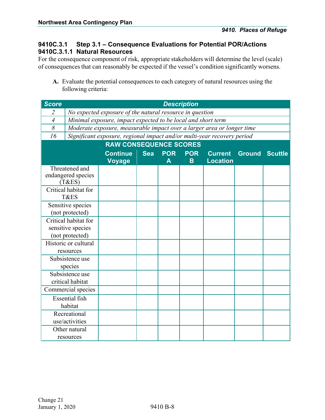### <span id="page-26-0"></span>**9410C.3.1 Step 3.1 – Consequence Evaluations for Potential POR/Actions 9410C.3.1.1 Natural Resources**

<span id="page-26-1"></span>For the consequence component of risk, appropriate stakeholders will determine the level (scale) of consequences that can reasonably be expected if the vessel's condition significantly worsens.

**A.** Evaluate the potential consequences to each category of natural resources using the following criteria:

| <b>Score</b>   |                                                              |                                                                         |            |            | <b>Description</b> |                 |                       |  |  |
|----------------|--------------------------------------------------------------|-------------------------------------------------------------------------|------------|------------|--------------------|-----------------|-----------------------|--|--|
| $\overline{2}$ | No expected exposure of the natural resource in question     |                                                                         |            |            |                    |                 |                       |  |  |
| $\overline{4}$ | Minimal exposure, impact expected to be local and short term |                                                                         |            |            |                    |                 |                       |  |  |
| 8              |                                                              | Moderate exposure, measurable impact over a larger area or longer time  |            |            |                    |                 |                       |  |  |
| 16             |                                                              | Significant exposure, regional impact and/or multi-year recovery period |            |            |                    |                 |                       |  |  |
|                | <b>RAW CONSEQUENCE SCORES</b>                                |                                                                         |            |            |                    |                 |                       |  |  |
|                |                                                              | <b>Continue</b>                                                         | <b>Sea</b> | <b>POR</b> | <b>POR</b>         | <b>Current</b>  | <b>Ground Scuttle</b> |  |  |
|                |                                                              | <b>Voyage</b>                                                           |            | A          | B.                 | <b>Location</b> |                       |  |  |
|                | Threatened and                                               |                                                                         |            |            |                    |                 |                       |  |  |
|                | endangered species<br>(T&ES)                                 |                                                                         |            |            |                    |                 |                       |  |  |
|                | Critical habitat for                                         |                                                                         |            |            |                    |                 |                       |  |  |
|                | T&ES                                                         |                                                                         |            |            |                    |                 |                       |  |  |
|                | Sensitive species                                            |                                                                         |            |            |                    |                 |                       |  |  |
|                | (not protected)                                              |                                                                         |            |            |                    |                 |                       |  |  |
|                | Critical habitat for                                         |                                                                         |            |            |                    |                 |                       |  |  |
|                | sensitive species                                            |                                                                         |            |            |                    |                 |                       |  |  |
|                | (not protected)                                              |                                                                         |            |            |                    |                 |                       |  |  |
|                | Historic or cultural                                         |                                                                         |            |            |                    |                 |                       |  |  |
|                | resources                                                    |                                                                         |            |            |                    |                 |                       |  |  |
|                | Subsistence use                                              |                                                                         |            |            |                    |                 |                       |  |  |
|                | species                                                      |                                                                         |            |            |                    |                 |                       |  |  |
|                | Subsistence use                                              |                                                                         |            |            |                    |                 |                       |  |  |
|                | critical habitat                                             |                                                                         |            |            |                    |                 |                       |  |  |
|                | Commercial species                                           |                                                                         |            |            |                    |                 |                       |  |  |
|                | <b>Essential fish</b>                                        |                                                                         |            |            |                    |                 |                       |  |  |
|                | habitat                                                      |                                                                         |            |            |                    |                 |                       |  |  |
|                | Recreational                                                 |                                                                         |            |            |                    |                 |                       |  |  |
|                | use/activities                                               |                                                                         |            |            |                    |                 |                       |  |  |
|                | Other natural                                                |                                                                         |            |            |                    |                 |                       |  |  |
|                | resources                                                    |                                                                         |            |            |                    |                 |                       |  |  |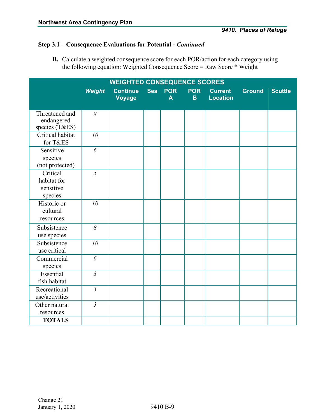### **Step 3.1 – Consequence Evaluations for Potential -** *Continued*

**B.** Calculate a weighted consequence score for each POR/action for each category using the following equation: Weighted Consequence Score = Raw Score \* Weight

|                                                 |                | <b>WEIGHTED CONSEQUENCE SCORES</b> |            |                 |                            |                                   |               |                |
|-------------------------------------------------|----------------|------------------------------------|------------|-----------------|----------------------------|-----------------------------------|---------------|----------------|
|                                                 | <b>Weight</b>  | <b>Continue</b><br><b>Voyage</b>   | <b>Sea</b> | <b>POR</b><br>A | <b>POR</b><br>$\mathbf{B}$ | <b>Current</b><br><b>Location</b> | <b>Ground</b> | <b>Scuttle</b> |
| Threatened and<br>endangered<br>species (T&ES)  | 8              |                                    |            |                 |                            |                                   |               |                |
| Critical habitat<br>for T&ES                    | 10             |                                    |            |                 |                            |                                   |               |                |
| Sensitive<br>species<br>(not protected)         | 6              |                                    |            |                 |                            |                                   |               |                |
| Critical<br>habitat for<br>sensitive<br>species | $\overline{5}$ |                                    |            |                 |                            |                                   |               |                |
| Historic or<br>cultural<br>resources            | 10             |                                    |            |                 |                            |                                   |               |                |
| Subsistence<br>use species                      | $\delta$       |                                    |            |                 |                            |                                   |               |                |
| Subsistence<br>use critical                     | 10             |                                    |            |                 |                            |                                   |               |                |
| Commercial<br>species                           | 6              |                                    |            |                 |                            |                                   |               |                |
| Essential<br>fish habitat                       | $\mathfrak{Z}$ |                                    |            |                 |                            |                                   |               |                |
| Recreational<br>use/activities                  | $\overline{3}$ |                                    |            |                 |                            |                                   |               |                |
| Other natural<br>resources                      | $\mathfrak{Z}$ |                                    |            |                 |                            |                                   |               |                |
| <b>TOTALS</b>                                   |                |                                    |            |                 |                            |                                   |               |                |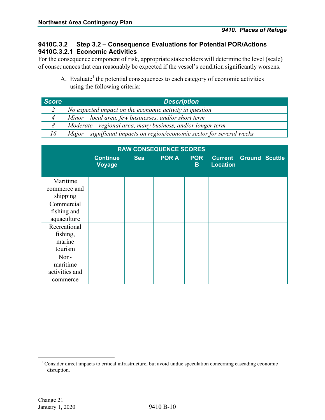### <span id="page-28-0"></span>**9410C.3.2 Step 3.2 – Consequence Evaluations for Potential POR/Actions 9410C.3.2.1 Economic Activities**

<span id="page-28-1"></span>For the consequence component of risk, appropriate stakeholders will determine the level (scale) of consequences that can reasonably be expected if the vessel's condition significantly worsens.

A. Evaluate<sup>1</sup> the potential consequences to each category of economic activities using the following criteria:

| <b>Score</b> | <b>Description</b>                                                      |
|--------------|-------------------------------------------------------------------------|
|              | No expected impact on the economic activity in question                 |
|              | $Minor - local area, few businesses, and/or short term$                 |
|              | Moderate – regional area, many business, and/or longer term             |
| 16           | Major - significant impacts on region/economic sector for several weeks |

|                                                |                                  |            | <b>RAW CONSEQUENCE SCORES</b> |                  |                                                  |  |
|------------------------------------------------|----------------------------------|------------|-------------------------------|------------------|--------------------------------------------------|--|
|                                                | <b>Continue</b><br><b>Voyage</b> | <b>Sea</b> | <b>POR A</b>                  | <b>POR</b><br>B. | <b>Current Ground Scuttle</b><br><b>Location</b> |  |
| Maritime<br>commerce and<br>shipping           |                                  |            |                               |                  |                                                  |  |
| Commercial<br>fishing and<br>aquaculture       |                                  |            |                               |                  |                                                  |  |
| Recreational<br>fishing,<br>marine<br>tourism  |                                  |            |                               |                  |                                                  |  |
| Non-<br>maritime<br>activities and<br>commerce |                                  |            |                               |                  |                                                  |  |

<sup>&</sup>lt;sup>1</sup> Consider direct impacts to critical infrastructure, but avoid undue speculation concerning cascading economic disruption.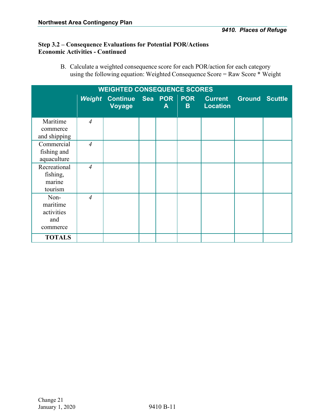### **Step 3.2 – Consequence Evaluations for Potential POR/Actions Economic Activities - Continued**

B. Calculate a weighted consequence score for each POR/action for each category using the following equation: Weighted Consequence Score = Raw Score \* Weight

|                                                   | <b>WEIGHTED CONSEQUENCE SCORES</b> |                                       |  |              |          |                                                  |  |  |
|---------------------------------------------------|------------------------------------|---------------------------------------|--|--------------|----------|--------------------------------------------------|--|--|
|                                                   |                                    | Weight Continue Sea POR POR<br>Voyage |  | $\mathsf{A}$ | <b>B</b> | <b>Current Ground Scuttle</b><br><b>Location</b> |  |  |
| Maritime<br>commerce<br>and shipping              | $\overline{4}$                     |                                       |  |              |          |                                                  |  |  |
| Commercial<br>fishing and<br>aquaculture          | $\overline{4}$                     |                                       |  |              |          |                                                  |  |  |
| Recreational<br>fishing,<br>marine<br>tourism     | $\overline{4}$                     |                                       |  |              |          |                                                  |  |  |
| Non-<br>maritime<br>activities<br>and<br>commerce | $\overline{4}$                     |                                       |  |              |          |                                                  |  |  |
| <b>TOTALS</b>                                     |                                    |                                       |  |              |          |                                                  |  |  |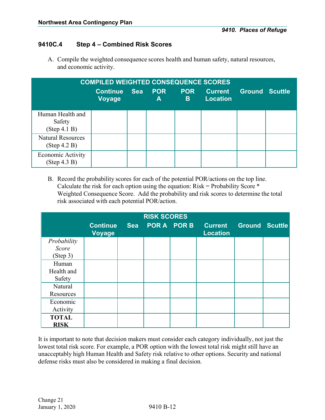### <span id="page-30-0"></span>**9410C.4 Step 4 – Combined Risk Scores**

A. Compile the weighted consequence scores health and human safety, natural resources, and economic activity.

| <b>COMPILED WEIGHTED CONSEQUENCE SCORES</b> |                                  |            |                 |                 |                                   |                       |  |
|---------------------------------------------|----------------------------------|------------|-----------------|-----------------|-----------------------------------|-----------------------|--|
|                                             | <b>Continue</b><br><b>Voyage</b> | <b>Sea</b> | <b>POR</b><br>A | <b>POR</b><br>B | <b>Current</b><br><b>Location</b> | <b>Ground Scuttle</b> |  |
| Human Health and<br>Safety<br>(Step 4.1 B)  |                                  |            |                 |                 |                                   |                       |  |
| <b>Natural Resources</b><br>(Step 4.2 B)    |                                  |            |                 |                 |                                   |                       |  |
| <b>Economic Activity</b><br>(Step 4.3 B)    |                                  |            |                 |                 |                                   |                       |  |

B. Record the probability scores for each of the potential POR/actions on the top line. Calculate the risk for each option using the equation:  $Risk = Probability$  Score  $*$ Weighted Consequence Score. Add the probability and risk scores to determine the total risk associated with each potential POR/action.

|                                  |                           |            | <b>RISK SCORES</b> |             |                                   |                       |  |
|----------------------------------|---------------------------|------------|--------------------|-------------|-----------------------------------|-----------------------|--|
|                                  | <b>Continue</b><br>Voyage | <b>Sea</b> |                    | POR A POR B | <b>Current</b><br><b>Location</b> | <b>Ground Scuttle</b> |  |
| Probability<br>Score<br>(Step 3) |                           |            |                    |             |                                   |                       |  |
| Human<br>Health and<br>Safety    |                           |            |                    |             |                                   |                       |  |
| Natural<br>Resources             |                           |            |                    |             |                                   |                       |  |
| Economic<br>Activity             |                           |            |                    |             |                                   |                       |  |
| <b>TOTAL</b><br><b>RISK</b>      |                           |            |                    |             |                                   |                       |  |

It is important to note that decision makers must consider each category individually, not just the lowest total risk score. For example, a POR option with the lowest total risk might still have an unacceptably high Human Health and Safety risk relative to other options. Security and national defense risks must also be considered in making a final decision.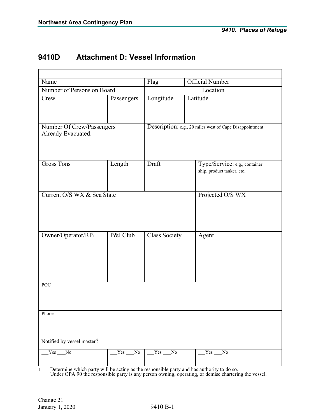### <span id="page-31-0"></span>**9410D Attachment D: Vessel Information**

| Name                                            |            | Flag                 | <b>Official Number</b>                                      |
|-------------------------------------------------|------------|----------------------|-------------------------------------------------------------|
| Number of Persons on Board                      |            |                      | Location                                                    |
| Crew                                            | Passengers | Longitude            | Latitude                                                    |
| Number Of Crew/Passengers<br>Already Evacuated: |            |                      | Description: e.g., 20 miles west of Cape Disappointment     |
| <b>Gross Tons</b>                               | Length     | Draft                | Type/Service: e.g., container<br>ship, product tanker, etc. |
| Current O/S WX & Sea State                      |            |                      | Projected O/S WX                                            |
| Owner/Operator/RP1                              | P&I Club   | <b>Class Society</b> | Agent                                                       |
| <b>POC</b>                                      |            |                      |                                                             |
| Phone                                           |            |                      |                                                             |
| Notified by vessel master?                      |            |                      |                                                             |
| $Yes$ No                                        | $Yes$ No   | Yes No               | $Yes$ No                                                    |

1 Determine which party will be acting as the responsible party and has authority to do so.

Under OPA 90 the responsible party is any person owning, operating, or demise chartering the vessel.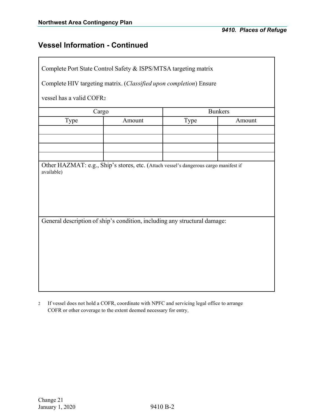### **Vessel Information - Continued**

Complete Port State Control Safety & ISPS/MTSA targeting matrix

Complete HIV targeting matrix. (*Classified upon completion*) Ensure

vessel has a valid COFR2

| Cargo |        | <b>Bunkers</b> |        |  |  |
|-------|--------|----------------|--------|--|--|
| Type  | Amount | Type           | Amount |  |  |
|       |        |                |        |  |  |
|       |        |                |        |  |  |
|       |        |                |        |  |  |
|       |        |                |        |  |  |

Other HAZMAT: e.g., Ship's stores, etc. (Attach vessel's dangerous cargo manifest if available)

General description of ship's condition, including any structural damage:

2 If vessel does not hold a COFR, coordinate with NPFC and servicing legal office to arrange COFR or other coverage to the extent deemed necessary for entry.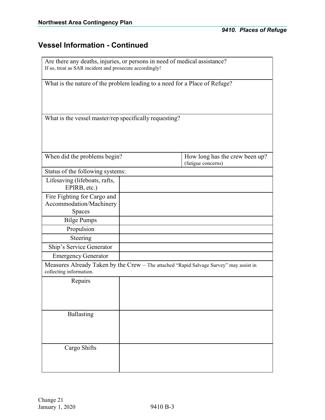### **Vessel Information - Continued**

| Are there any deaths, injuries, or persons in need of medical assistance?<br>If so, treat as SAR incident and prosecute accordingly! |  |                                                                                        |  |  |  |
|--------------------------------------------------------------------------------------------------------------------------------------|--|----------------------------------------------------------------------------------------|--|--|--|
| What is the nature of the problem leading to a need for a Place of Refuge?                                                           |  |                                                                                        |  |  |  |
| What is the vessel master/rep specifically requesting?                                                                               |  |                                                                                        |  |  |  |
| When did the problems begin?                                                                                                         |  | How long has the crew been up?<br>(fatigue concerns)                                   |  |  |  |
| Status of the following systems:                                                                                                     |  |                                                                                        |  |  |  |
| Lifesaving (lifeboats, rafts,<br>EPIRB, etc.)                                                                                        |  |                                                                                        |  |  |  |
| Fire Fighting for Cargo and<br>Accommodation/Machinery<br>Spaces                                                                     |  |                                                                                        |  |  |  |
| <b>Bilge Pumps</b>                                                                                                                   |  |                                                                                        |  |  |  |
| Propulsion                                                                                                                           |  |                                                                                        |  |  |  |
| Steering                                                                                                                             |  |                                                                                        |  |  |  |
| Ship's Service Generator                                                                                                             |  |                                                                                        |  |  |  |
| <b>Emergency Generator</b>                                                                                                           |  |                                                                                        |  |  |  |
| collecting information.                                                                                                              |  | Measures Already Taken by the Crew - The attached "Rapid Salvage Survey" may assist in |  |  |  |
| Repairs                                                                                                                              |  |                                                                                        |  |  |  |
| <b>Ballasting</b>                                                                                                                    |  |                                                                                        |  |  |  |
| Cargo Shifts                                                                                                                         |  |                                                                                        |  |  |  |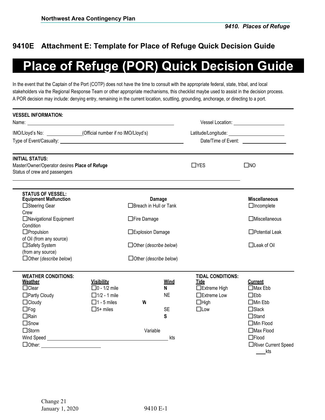### <span id="page-34-0"></span>**9410E Attachment E: Template for Place of Refuge Quick Decision Guide**

# **Place of Refuge (POR) Quick Decision Guide**

In the event that the Captain of the Port (COTP) does not have the time to consult with the appropriate federal, state, tribal, and local stakeholders via the Regional Response Team or other appropriate mechanisms, this checklist maybe used to assist in the decision process. A POR decision may include: denying entry, remaining in the current location, scuttling, grounding, anchorage, or directing to a port.

| <b>VESSEL INFORMATION:</b>                                                                               |                                           |                               | Vessel Location: Vessel Vessel Version of the Contract of the Vessel Vessel Vessel Vessel Vessel Vessel Vessel Vessel Vessel Vessel Vessel Vessel Vessel Vessel Vessel Vessel Vessel Vessel Vessel Vessel Vessel Vessel Vessel |                                                          |                                           |  |
|----------------------------------------------------------------------------------------------------------|-------------------------------------------|-------------------------------|--------------------------------------------------------------------------------------------------------------------------------------------------------------------------------------------------------------------------------|----------------------------------------------------------|-------------------------------------------|--|
| IMO/Lloyd's No: (Official number if no IMO/Lloyd's)                                                      |                                           |                               |                                                                                                                                                                                                                                |                                                          |                                           |  |
|                                                                                                          |                                           |                               |                                                                                                                                                                                                                                |                                                          |                                           |  |
| <b>INITIAL STATUS:</b><br>Master/Owner/Operator desires Place of Refuge<br>Status of crew and passengers |                                           |                               |                                                                                                                                                                                                                                | $\Box$ YES                                               | $\square$ NO                              |  |
| <b>STATUS OF VESSEL:</b><br><b>Equipment Malfunction</b><br>□Steering Gear                               |                                           | $\Box$ Breach in Hull or Tank | Damage                                                                                                                                                                                                                         |                                                          | <b>Miscellaneous</b><br>$\Box$ Incomplete |  |
| Crew<br>□Navigational Equipment<br>Condition                                                             |                                           | □ Fire Damage                 |                                                                                                                                                                                                                                |                                                          | $\Box$ Miscellaneous                      |  |
| $\Box$ Propulsion<br>of Oil (from any source)                                                            |                                           | □Explosion Damage             |                                                                                                                                                                                                                                |                                                          | $\Box$ Potential Leak                     |  |
| □Safety System<br>(from any source)                                                                      |                                           | $\Box$ Other (describe below) |                                                                                                                                                                                                                                |                                                          | $\Box$ Leak of Oil                        |  |
| $\Box$ Other (describe below)                                                                            |                                           | $\Box$ Other (describe below) |                                                                                                                                                                                                                                |                                                          |                                           |  |
| <b>WEATHER CONDITIONS:</b><br>Weather<br>$\Box$ Clear                                                    | <b>Visibility</b><br>$\Box$ 0 - 1/2 mile  |                               | <b>Wind</b><br>N                                                                                                                                                                                                               | <b>TIDAL CONDITIONS:</b><br><b>Tide</b><br>□Extreme High | <b>Current</b><br>$\Box$ Max Ebb          |  |
| □Partly Cloudy<br>$\Box$ Cloudy                                                                          | $\Box$ 1/2 - 1 mile<br>$\Box$ 1 - 5 miles | W                             | <b>NE</b>                                                                                                                                                                                                                      | $\Box$ Extreme Low<br>$\Box$ High                        | $\Box$ Ebb<br>$\Box$ Min Ebb              |  |
| $\Box$ Fog                                                                                               | $\Box$ 5+ miles                           |                               | <b>SE</b>                                                                                                                                                                                                                      | $\square$ Low                                            | $\Box$ Slack                              |  |
| $\Box$ Rain                                                                                              |                                           |                               | S                                                                                                                                                                                                                              |                                                          | $\Box$ Stand                              |  |
| $\square$ Snow<br>$\Box$ Storm                                                                           |                                           | Variable                      |                                                                                                                                                                                                                                |                                                          | $\Box$ Min Flood<br>$\Box$ Max Flood      |  |
|                                                                                                          |                                           |                               | kts                                                                                                                                                                                                                            |                                                          | $\Box$ Flood                              |  |
| DOther: _________________________                                                                        |                                           |                               |                                                                                                                                                                                                                                |                                                          | □River Current Speed<br>kts               |  |